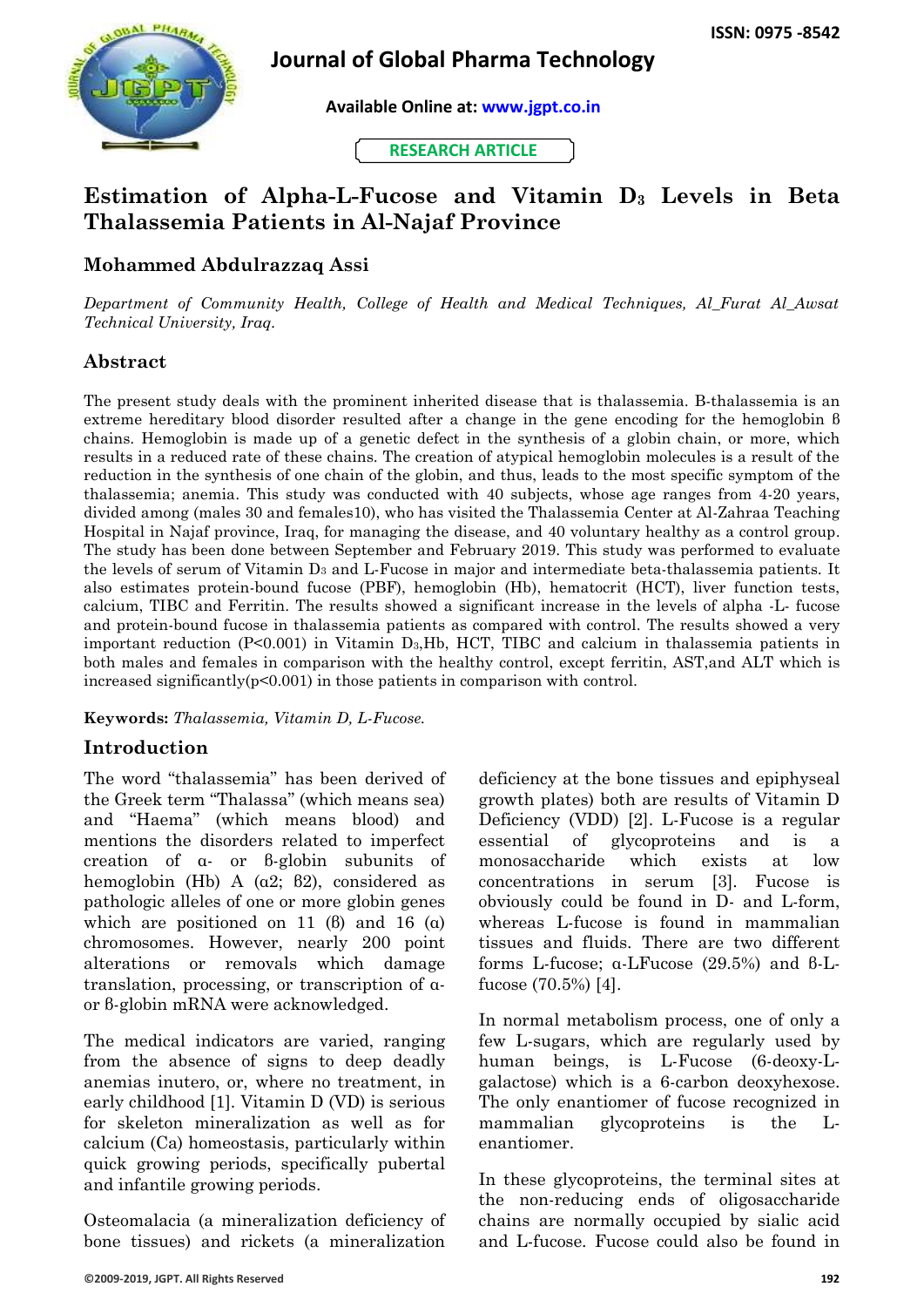

## **Journal of Global Pharma Technology**

**Available Online at: [www.jgpt.co.in](http://www.jgpt.co.in/)**

**RESEARCH ARTICLE**

# **Estimation of Alpha-L-Fucose and Vitamin D<sup>3</sup> Levels in Beta Thalassemia Patients in Al-Najaf Province**

## **Mohammed Abdulrazzaq Assi**

*Department of Community Health, College of Health and Medical Techniques, Al\_Furat Al\_Awsat Technical University, Iraq.*

#### **Abstract**

The present study deals with the prominent inherited disease that is thalassemia. Β-thalassemia is an extreme hereditary blood disorder resulted after a change in the gene encoding for the hemoglobin β chains. Hemoglobin is made up of a genetic defect in the synthesis of a globin chain, or more, which results in a reduced rate of these chains. The creation of atypical hemoglobin molecules is a result of the reduction in the synthesis of one chain of the globin, and thus, leads to the most specific symptom of the thalassemia; anemia. This study was conducted with 40 subjects, whose age ranges from 4-20 years, divided among (males 30 and females10), who has visited the Thalassemia Center at Al-Zahraa Teaching Hospital in Najaf province, Iraq, for managing the disease, and 40 voluntary healthy as a control group. The study has been done between September and February 2019. This study was performed to evaluate the levels of serum of Vitamin D<sup>3</sup> and L-Fucose in major and intermediate beta-thalassemia patients. It also estimates protein-bound fucose (PBF), hemoglobin (Hb), hematocrit (HCT), liver function tests, calcium, TIBC and Ferritin. The results showed a significant increase in the levels of alpha -L- fucose and protein-bound fucose in thalassemia patients as compared with control. The results showed a very important reduction (P<0.001) in Vitamin D3,Hb, HCT, TIBC and calcium in thalassemia patients in both males and females in comparison with the healthy control, except ferritin, AST,and ALT which is increased significantly(p<0.001) in those patients in comparison with control.

**Keywords:** *Thalassemia, Vitamin D, L-Fucose.*

#### **Introduction**

The word "thalassemia" has been derived of the Greek term "Thalassa" (which means sea) and "Haema" (which means blood) and mentions the disorders related to imperfect creation of α- or β-globin subunits of hemoglobin (Hb) A (α2; β2), considered as pathologic alleles of one or more globin genes which are positioned on 11 ( $\theta$ ) and 16 ( $\alpha$ ) chromosomes. However, nearly 200 point alterations or removals which damage translation, processing, or transcription of αor β-globin mRNA were acknowledged.

The medical indicators are varied, ranging from the absence of signs to deep deadly anemias inutero, or, where no treatment, in early childhood [1]. Vitamin D (VD) is serious for skeleton mineralization as well as for calcium (Ca) homeostasis, particularly within quick growing periods, specifically pubertal and infantile growing periods.

Osteomalacia (a mineralization deficiency of bone tissues) and rickets (a mineralization deficiency at the bone tissues and epiphyseal growth plates) both are results of Vitamin D Deficiency (VDD) [2]. L-Fucose is a regular essential of glycoproteins and is a monosaccharide which exists at low concentrations in serum [3]. Fucose is obviously could be found in D- and L-form, whereas L-fucose is found in mammalian tissues and fluids. There are two different forms L-fucose; α-LFucose (29.5%) and β-Lfucose (70.5%) [4].

In normal metabolism process, one of only a few L-sugars, which are regularly used by human beings, is L-Fucose (6-deoxy-Lgalactose) which is a 6-carbon deoxyhexose. The only enantiomer of fucose recognized in mammalian glycoproteins is the Lenantiomer.

In these glycoproteins, the terminal sites at the non-reducing ends of oligosaccharide chains are normally occupied by sialic acid and L-fucose. Fucose could also be found in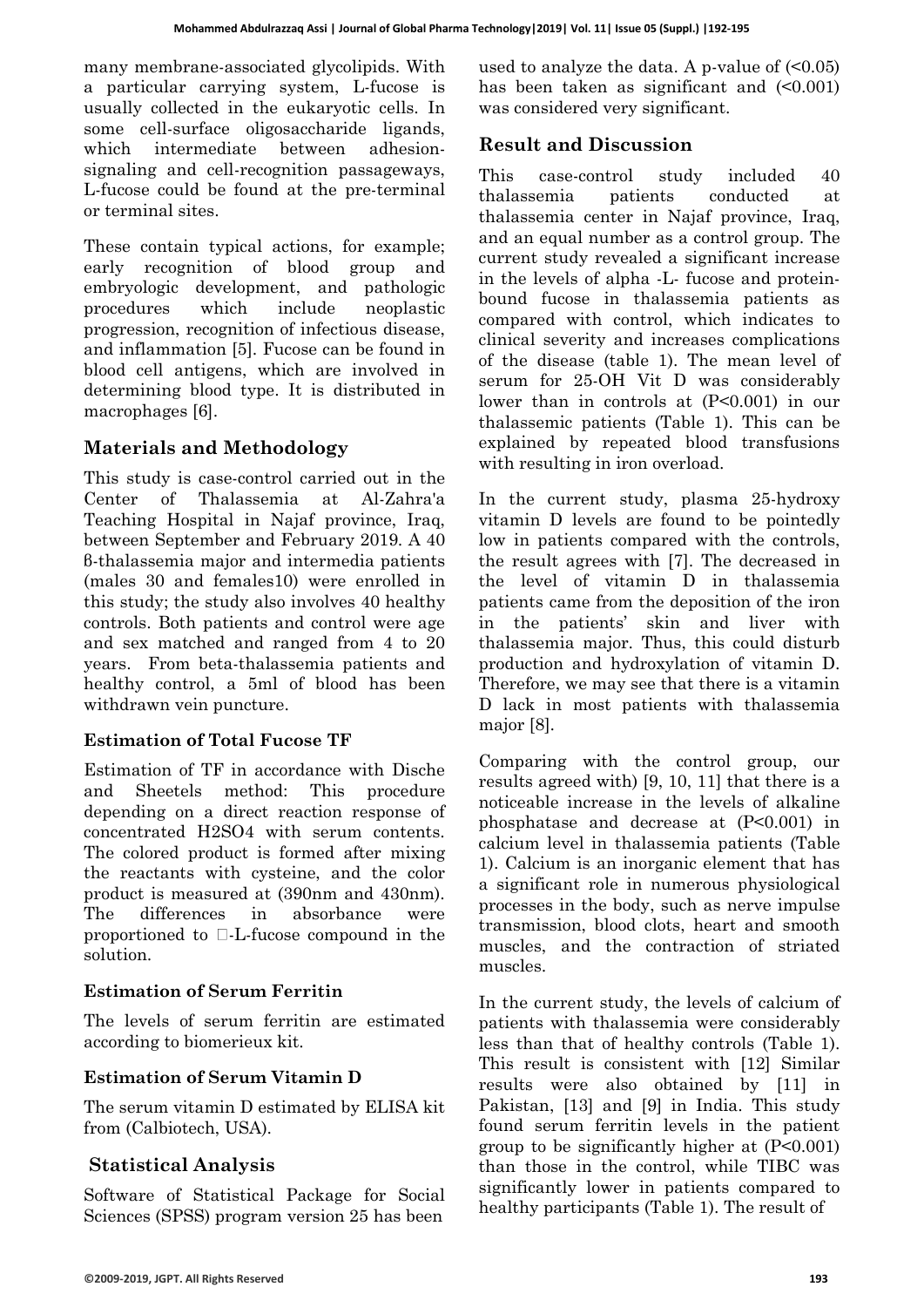many membrane-associated glycolipids. With a particular carrying system, L-fucose is usually collected in the eukaryotic cells. In some cell-surface oligosaccharide ligands, which intermediate between adhesionsignaling and cell-recognition passageways, L-fucose could be found at the pre-terminal or terminal sites.

These contain typical actions, for example; early recognition of blood group and embryologic development, and pathologic procedures which include neoplastic progression, recognition of infectious disease, and inflammation [5]. Fucose can be found in blood cell antigens, which are involved in determining blood type. It is distributed in macrophages [6].

### **Materials and Methodology**

This study is case-control carried out in the Center of Thalassemia at Al-Zahra'a Teaching Hospital in Najaf province, Iraq, between September and February 2019. A 40 β-thalassemia major and intermedia patients (males 30 and females10) were enrolled in this study; the study also involves 40 healthy controls. Both patients and control were age and sex matched and ranged from 4 to 20 years. From beta-thalassemia patients and healthy control, a 5ml of blood has been withdrawn vein puncture.

#### **Estimation of Total Fucose TF**

Estimation of TF in accordance with Dische and Sheetels method: This procedure depending on a direct reaction response of concentrated H2SO4 with serum contents. The colored product is formed after mixing the reactants with cysteine, and the color product is measured at (390nm and 430nm). The differences in absorbance were proportioned to  $\Box$ -L-fucose compound in the solution.

#### **Estimation of Serum Ferritin**

The levels of serum ferritin are estimated according to biomerieux kit.

#### **Estimation of Serum Vitamin D**

The serum vitamin D estimated by ELISA kit from (Calbiotech, USA).

#### **Statistical Analysis**

Software of Statistical Package for Social Sciences (SPSS) program version 25 has been

used to analyze the data. A p-value of  $(0.05)$ has been taken as significant and  $\leq 0.001$ ) was considered very significant.

#### **Result and Discussion**

This case-control study included 40 thalassemia patients conducted at thalassemia center in Najaf province, Iraq, and an equal number as a control group. The current study revealed a significant increase in the levels of alpha -L- fucose and proteinbound fucose in thalassemia patients as compared with control, which indicates to clinical severity and increases complications of the disease (table 1). The mean level of serum for 25-OH Vit D was considerably lower than in controls at  $(P<0.001)$  in our thalassemic patients (Table 1). This can be explained by repeated blood transfusions with resulting in iron overload.

In the current study, plasma 25-hydroxy vitamin D levels are found to be pointedly low in patients compared with the controls, the result agrees with [7]. The decreased in the level of vitamin D in thalassemia patients came from the deposition of the iron in the patients' skin and liver with thalassemia major. Thus, this could disturb production and hydroxylation of vitamin D. Therefore, we may see that there is a vitamin D lack in most patients with thalassemia major [8].

Comparing with the control group, our results agreed with) [9, 10, 11] that there is a noticeable increase in the levels of alkaline phosphatase and decrease at (P<0.001) in calcium level in thalassemia patients (Table 1). Calcium is an inorganic element that has a significant role in numerous physiological processes in the body, such as nerve impulse transmission, blood clots, heart and smooth muscles, and the contraction of striated muscles.

In the current study, the levels of calcium of patients with thalassemia were considerably less than that of healthy controls (Table 1). This result is consistent with [12] Similar results were also obtained by [11] in Pakistan, [13] and [9] in India. This study found serum ferritin levels in the patient group to be significantly higher at (P<0.001) than those in the control, while TIBC was significantly lower in patients compared to healthy participants (Table 1). The result of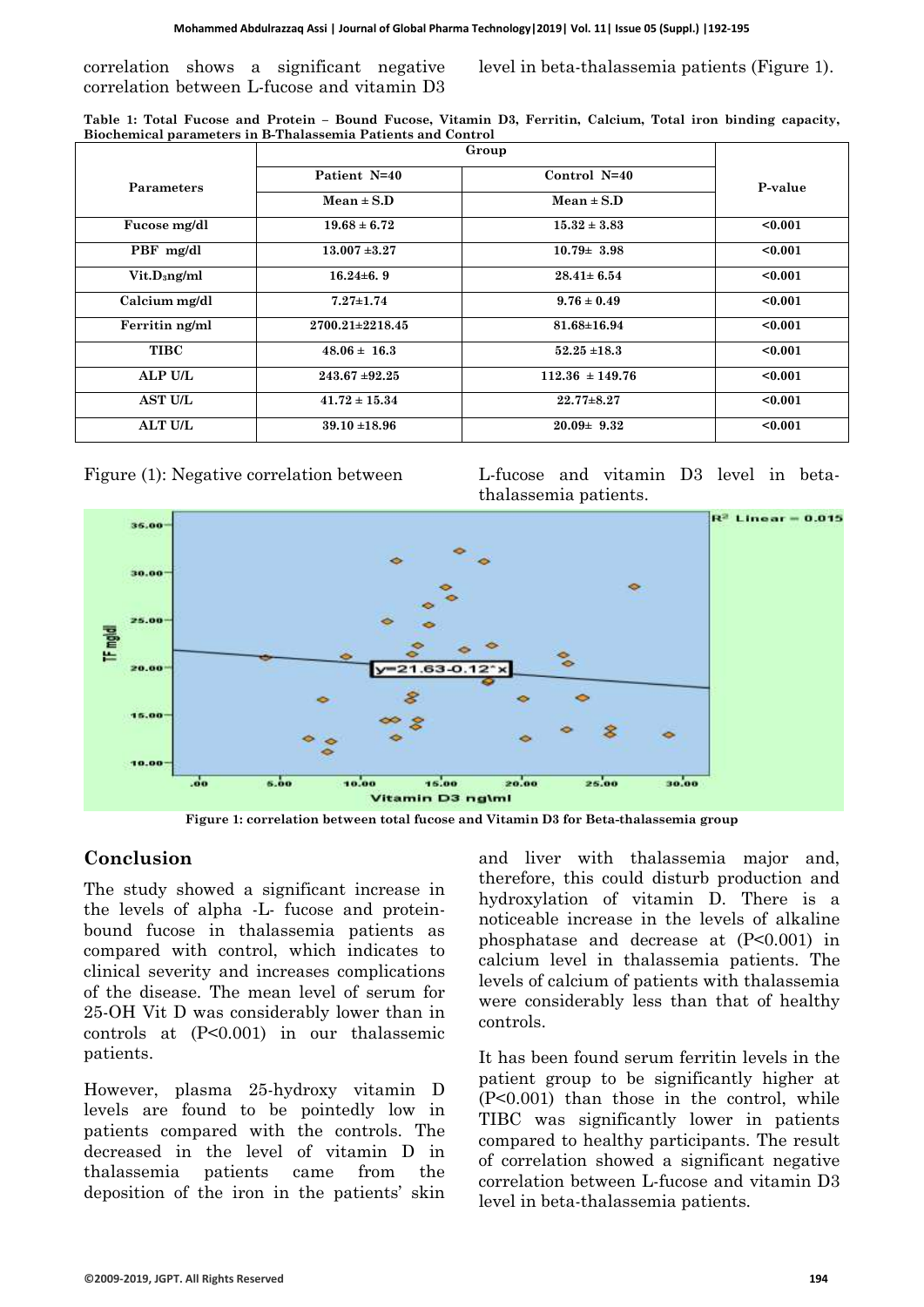correlation shows a significant negative correlation between L-fucose and vitamin D3

level in beta-thalassemia patients (Figure 1).

| Table 1: Total Fucose and Protein - Bound Fucose, Vitamin D3, Ferritin, Calcium, Total iron binding capacity, |  |  |  |  |  |  |  |
|---------------------------------------------------------------------------------------------------------------|--|--|--|--|--|--|--|
| Biochemical parameters in B-Thalassemia Patients and Control                                                  |  |  |  |  |  |  |  |
|                                                                                                               |  |  |  |  |  |  |  |

|                     | Group                                                            |                     |         |  |
|---------------------|------------------------------------------------------------------|---------------------|---------|--|
| <b>Parameters</b>   | Patient N=40<br>Control N=40<br>$Mean \pm S.D$<br>$Mean \pm S.D$ |                     | P-value |  |
|                     |                                                                  |                     |         |  |
| Fucose mg/dl        | $19.68 \pm 6.72$                                                 | $15.32 \pm 3.83$    | < 0.001 |  |
| PBF mg/dl           | $13.007 + 3.27$                                                  | $10.79 \pm 3.98$    | < 0.001 |  |
| $V$ it. $D_3$ ng/ml | $16.24 \pm 6.9$                                                  | $28.41 \pm 6.54$    | < 0.001 |  |
| Calcium mg/dl       | $7.27 \pm 1.74$                                                  | $9.76 \pm 0.49$     | $0.001$ |  |
| Ferritin ng/ml      | $2700.21 \pm 2218.45$                                            | $81.68 \pm 16.94$   | < 0.001 |  |
| <b>TIBC</b>         | $48.06 \pm 16.3$                                                 | $52.25 \pm 18.3$    | $0.001$ |  |
| ALP U/L             | $243.67 + 92.25$                                                 | $112.36 \pm 149.76$ | < 0.001 |  |
| <b>AST U/L</b>      | $41.72 \pm 15.34$                                                | $22.77 \pm 8.27$    | $0.001$ |  |
| <b>ALT U/L</b>      | $39.10 \pm 18.96$                                                | $20.09 \pm 9.32$    | < 0.001 |  |



Figure (1): Negative correlation between L-fucose and vitamin D3 level in betathalassemia patients.



**Figure 1: correlation between total fucose and Vitamin D3 for Beta-thalassemia group**

#### **Conclusion**

The study showed a significant increase in the levels of alpha -L- fucose and proteinbound fucose in thalassemia patients as compared with control, which indicates to clinical severity and increases complications of the disease. The mean level of serum for 25-OH Vit D was considerably lower than in controls at (P<0.001) in our thalassemic patients.

However, plasma 25-hydroxy vitamin D levels are found to be pointedly low in patients compared with the controls. The decreased in the level of vitamin D in thalassemia patients came from the deposition of the iron in the patients' skin and liver with thalassemia major and, therefore, this could disturb production and hydroxylation of vitamin D. There is a noticeable increase in the levels of alkaline phosphatase and decrease at (P<0.001) in calcium level in thalassemia patients. The levels of calcium of patients with thalassemia were considerably less than that of healthy controls.

It has been found serum ferritin levels in the patient group to be significantly higher at (P<0.001) than those in the control, while TIBC was significantly lower in patients compared to healthy participants. The result of correlation showed a significant negative correlation between L-fucose and vitamin D3 level in beta-thalassemia patients.